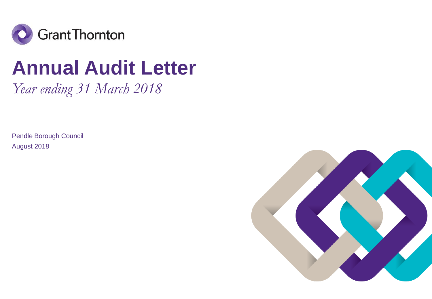

# **Annual Audit Letter**

*Year ending 31 March 2018*

Pendle Borough Council August 2018

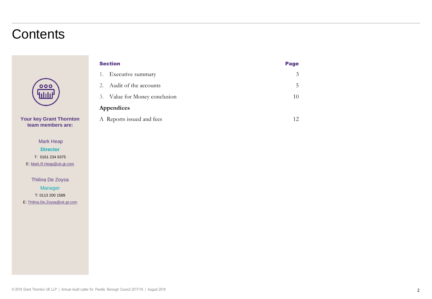# **Contents**



**Your key Grant Thornton Your key Grant Thornton team members are: team members are:**

**Engagement Mark Heap Engagement Director** T: 0161 234 6375 E: [Mark.R.Heap@uk.gt.com](mailto:Mark.R.Heap@uk.gt.com)

Thilina De Zoysa **Manager** T: 0113 200 1589 E: [Thilina.De.Zoysa@uk.gt.com](mailto:Thilina.De.Zoysa@uk.gt.com)

| <b>Section</b>                | Page |  |
|-------------------------------|------|--|
| 1. Executive summary          | 3    |  |
| 2. Audit of the accounts      | 5    |  |
| 3. Value for Money conclusion | 10   |  |
| Appendices                    |      |  |
| A Reports issued and fees     | 12.  |  |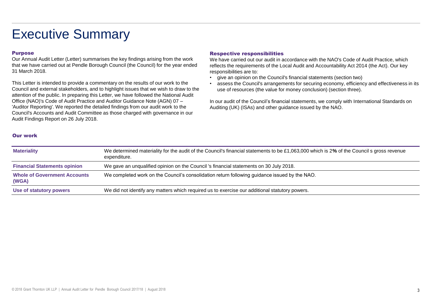# Executive Summary

#### Purpose

Our Annual Audit Letter (Letter) summarises the key findings arising from the work that we have carried out at Pendle Borough Council (the Council) for the year ended 31 March 2018.

This Letter is intended to provide a commentary on the results of our work to the Council and external stakeholders, and to highlight issues that we wish to draw to the attention of the public. In preparing this Letter, we have followed the National Audit Office (NAO)'s Code of Audit Practice and Auditor Guidance Note (AGN) 07 – 'Auditor Reporting'. We reported the detailed findings from our audit work to the Council's Accounts and Audit Committee as those charged with governance in our Audit Findings Report on 26 July 2018.

#### Respective responsibilities

We have carried out our audit in accordance with the NAO's Code of Audit Practice, which reflects the requirements of the Local Audit and Accountability Act 2014 (the Act). Our key responsibilities are to:

- give an opinion on the Council's financial statements (section two)
- assess the Council's arrangements for securing economy, efficiency and effectiveness in its use of resources (the value for money conclusion) (section three).

In our audit of the Council's financial statements, we comply with International Standards on Auditing (UK) (ISAs) and other guidance issued by the NAO.

### Our work

| <b>Materiality</b>                           | We determined materiality for the audit of the Council's financial statements to be £1,063,000 which is 2% of the Council s gross revenue<br>expenditure. |
|----------------------------------------------|-----------------------------------------------------------------------------------------------------------------------------------------------------------|
| <b>Financial Statements opinion</b>          | We gave an unqualified opinion on the Council 's financial statements on 30 July 2018.                                                                    |
| <b>Whole of Government Accounts</b><br>(WGA) | We completed work on the Council's consolidation return following guidance issued by the NAO.                                                             |
| Use of statutory powers                      | We did not identify any matters which required us to exercise our additional statutory powers.                                                            |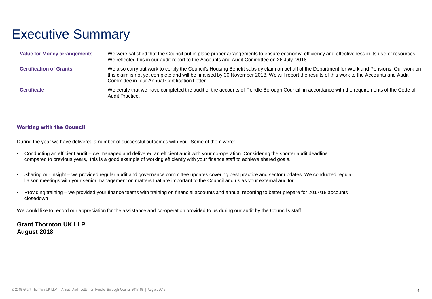# Executive Summary

| <b>Value for Money arrangements</b> | We were satisfied that the Council put in place proper arrangements to ensure economy, efficiency and effectiveness in its use of resources.<br>We reflected this in our audit report to the Accounts and Audit Committee on 26 July 2018.                                                                                                   |
|-------------------------------------|----------------------------------------------------------------------------------------------------------------------------------------------------------------------------------------------------------------------------------------------------------------------------------------------------------------------------------------------|
| <b>Certification of Grants</b>      | We also carry out work to certify the Council's Housing Benefit subsidy claim on behalf of the Department for Work and Pensions. Our work on<br>this claim is not yet complete and will be finalised by 30 November 2018. We will report the results of this work to the Accounts and Audit<br>Committee in our Annual Certification Letter. |
| <b>Certificate</b>                  | We certify that we have completed the audit of the accounts of Pendle Borough Council in accordance with the requirements of the Code of<br>Audit Practice.                                                                                                                                                                                  |

#### Working with the Council

During the year we have delivered a number of successful outcomes with you. Some of them were:

- Conducting an efficient audit we managed and delivered an efficient audit with your co-operation. Considering the shorter audit deadline compared to previous years, this is a good example of working efficiently with your finance staff to achieve shared goals.
- Sharing our insight we provided regular audit and governance committee updates covering best practice and sector updates. We conducted regular liaison meetings with your senior management on matters that are important to the Council and us as your external auditor.
- Providing training we provided your finance teams with training on financial accounts and annual reporting to better prepare for 2017/18 accounts closedown

We would like to record our appreciation for the assistance and co-operation provided to us during our audit by the Council's staff.

**Grant Thornton UK LLP August 2018**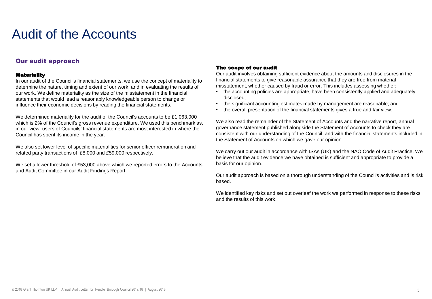# Our audit approach

### **Materiality**

In our audit of the Council's financial statements, we use the concept of materiality to determine the nature, timing and extent of our work, and in evaluating the results of our work. We define materiality as the size of the misstatement in the financial statements that would lead a reasonably knowledgeable person to change or influence their economic decisions by reading the financial statements.

We determined materiality for the audit of the Council's accounts to be £1,063,000 which is 2**%** of the Council's gross revenue expenditure. We used this benchmark as, in our view, users of Councils' financial statements are most interested in where the Council has spent its income in the year.

We also set lower level of specific materialities for senior officer remuneration and related party transactions of £8,000 and £59,000 respectively.

We set a lower threshold of £53,000 above which we reported errors to the Accounts and Audit Committee in our Audit Findings Report.

### The scope of our audit

Our audit involves obtaining sufficient evidence about the amounts and disclosures in the financial statements to give reasonable assurance that they are free from material misstatement, whether caused by fraud or error. This includes assessing whether:

- the accounting policies are appropriate, have been consistently applied and adequately disclosed;
- the significant accounting estimates made by management are reasonable; and
- the overall presentation of the financial statements gives a true and fair view.

We also read the remainder of the Statement of Accounts and the narrative report, annual governance statement published alongside the Statement of Accounts to check they are consistent with our understanding of the Council and with the financial statements included in the Statement of Accounts on which we gave our opinion.

We carry out our audit in accordance with ISAs (UK) and the NAO Code of Audit Practice. We believe that the audit evidence we have obtained is sufficient and appropriate to provide a basis for our opinion.

Our audit approach is based on a thorough understanding of the Council's activities and is risk based.

We identified key risks and set out overleaf the work we performed in response to these risks and the results of this work.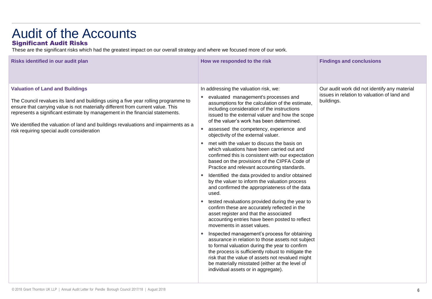# Audit of the Accounts Significant Audit Risks

These are the significant risks which had the greatest impact on our overall strategy and where we focused more of our work.

| Risks identified in our audit plan                                                                                                                                                                                                                                                                                                                                                                                                   | How we responded to the risk                                                                                                                                                                                                                                                                                                                                                                                                                                                                                                                                                                                                                                                                                                                                                                                                                                                                                                                                                                                                                                                                                                                                                                                                                                                                                                                                                                                   | <b>Findings and conclusions</b>                                                                           |
|--------------------------------------------------------------------------------------------------------------------------------------------------------------------------------------------------------------------------------------------------------------------------------------------------------------------------------------------------------------------------------------------------------------------------------------|----------------------------------------------------------------------------------------------------------------------------------------------------------------------------------------------------------------------------------------------------------------------------------------------------------------------------------------------------------------------------------------------------------------------------------------------------------------------------------------------------------------------------------------------------------------------------------------------------------------------------------------------------------------------------------------------------------------------------------------------------------------------------------------------------------------------------------------------------------------------------------------------------------------------------------------------------------------------------------------------------------------------------------------------------------------------------------------------------------------------------------------------------------------------------------------------------------------------------------------------------------------------------------------------------------------------------------------------------------------------------------------------------------------|-----------------------------------------------------------------------------------------------------------|
| <b>Valuation of Land and Buildings</b><br>The Council revalues its land and buildings using a five year rolling programme to<br>ensure that carrying value is not materially different from current value. This<br>represents a significant estimate by management in the financial statements.<br>We identified the valuation of land and buildings revaluations and impairments as a<br>risk requiring special audit consideration | In addressing the valuation risk, we:<br>evaluated management's processes and<br>٠<br>assumptions for the calculation of the estimate,<br>including consideration of the instructions<br>issued to the external valuer and how the scope<br>of the valuer's work has been determined.<br>assessed the competency, experience and<br>objectivity of the external valuer.<br>met with the valuer to discuss the basis on<br>$\bullet$<br>which valuations have been carried out and<br>confirmed this is consistent with our expectation<br>based on the provisions of the CIPFA Code of<br>Practice and relevant accounting standards.<br>Identified the data provided to and/or obtained<br>٠<br>by the valuer to inform the valuation process<br>and confirmed the appropriateness of the data<br>used.<br>tested revaluations provided during the year to<br>confirm these are accurately reflected in the<br>asset register and that the associated<br>accounting entries have been posted to reflect<br>movements in asset values.<br>Inspected management's process for obtaining<br>$\bullet$<br>assurance in relation to those assets not subject<br>to formal valuation during the year to confirm<br>the process is sufficiently robust to mitigate the<br>risk that the value of assets not revalued might<br>be materially misstated (either at the level of<br>individual assets or in aggregate). | Our audit work did not identify any material<br>issues in relation to valuation of land and<br>buildings. |
|                                                                                                                                                                                                                                                                                                                                                                                                                                      |                                                                                                                                                                                                                                                                                                                                                                                                                                                                                                                                                                                                                                                                                                                                                                                                                                                                                                                                                                                                                                                                                                                                                                                                                                                                                                                                                                                                                |                                                                                                           |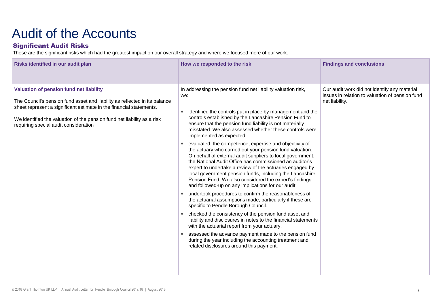# Significant Audit Risks

These are the significant risks which had the greatest impact on our overall strategy and where we focused more of our work.

| Risks identified in our audit plan                                                                                                                                                                                                                                                                               | How we responded to the risk                                                                                                                                                                                                                                                                                                                                                                                                                                                                                                                                                                                                                                                                                                                                                                                                                                                                                                                                                                                                                                                                                                                                                                                                                                                                                                                 | <b>Findings and conclusions</b>                                                                                   |
|------------------------------------------------------------------------------------------------------------------------------------------------------------------------------------------------------------------------------------------------------------------------------------------------------------------|----------------------------------------------------------------------------------------------------------------------------------------------------------------------------------------------------------------------------------------------------------------------------------------------------------------------------------------------------------------------------------------------------------------------------------------------------------------------------------------------------------------------------------------------------------------------------------------------------------------------------------------------------------------------------------------------------------------------------------------------------------------------------------------------------------------------------------------------------------------------------------------------------------------------------------------------------------------------------------------------------------------------------------------------------------------------------------------------------------------------------------------------------------------------------------------------------------------------------------------------------------------------------------------------------------------------------------------------|-------------------------------------------------------------------------------------------------------------------|
| Valuation of pension fund net liability<br>The Council's pension fund asset and liability as reflected in its balance<br>sheet represent a significant estimate in the financial statements.<br>We identified the valuation of the pension fund net liability as a risk<br>requiring special audit consideration | In addressing the pension fund net liability valuation risk,<br>we:<br>identified the controls put in place by management and the<br>controls established by the Lancashire Pension Fund to<br>ensure that the pension fund liability is not materially<br>misstated. We also assessed whether these controls were<br>implemented as expected.<br>evaluated the competence, expertise and objectivity of<br>the actuary who carried out your pension fund valuation.<br>On behalf of external audit suppliers to local government,<br>the National Audit Office has commissioned an auditor's<br>expert to undertake a review of the actuaries engaged by<br>local government pension funds, including the Lancashire<br>Pension Fund. We also considered the expert's findings<br>and followed-up on any implications for our audit.<br>undertook procedures to confirm the reasonableness of<br>the actuarial assumptions made, particularly if these are<br>specific to Pendle Borough Council.<br>checked the consistency of the pension fund asset and<br>liability and disclosures in notes to the financial statements<br>with the actuarial report from your actuary.<br>assessed the advance payment made to the pension fund<br>during the year including the accounting treatment and<br>related disclosures around this payment. | Our audit work did not identify any material<br>issues in relation to valuation of pension fund<br>net liability. |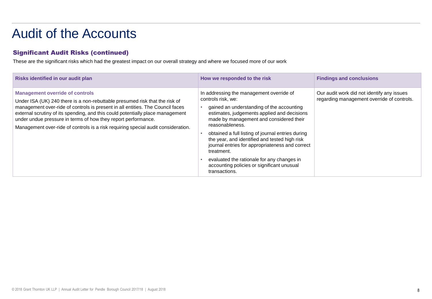# Significant Audit Risks (continued)

These are the significant risks which had the greatest impact on our overall strategy and where we focused more of our work

| Risks identified in our audit plan                                                                                                                                                                                                                                                                                                                                                                                                              | How we responded to the risk                                                                                                                                                                                                                                                                                                                                                                                                                                                                                 | <b>Findings and conclusions</b>                                                          |
|-------------------------------------------------------------------------------------------------------------------------------------------------------------------------------------------------------------------------------------------------------------------------------------------------------------------------------------------------------------------------------------------------------------------------------------------------|--------------------------------------------------------------------------------------------------------------------------------------------------------------------------------------------------------------------------------------------------------------------------------------------------------------------------------------------------------------------------------------------------------------------------------------------------------------------------------------------------------------|------------------------------------------------------------------------------------------|
| <b>Management override of controls</b><br>Under ISA (UK) 240 there is a non-rebuttable presumed risk that the risk of<br>management over-ride of controls is present in all entities. The Council faces<br>external scrutiny of its spending, and this could potentially place management<br>under undue pressure in terms of how they report performance.<br>Management over-ride of controls is a risk requiring special audit consideration. | In addressing the management override of<br>controls risk, we:<br>gained an understanding of the accounting<br>estimates, judgements applied and decisions<br>made by management and considered their<br>reasonableness.<br>obtained a full listing of journal entries during<br>the year, and identified and tested high risk<br>journal entries for appropriateness and correct<br>treatment.<br>evaluated the rationale for any changes in<br>accounting policies or significant unusual<br>transactions. | Our audit work did not identify any issues<br>regarding management override of controls. |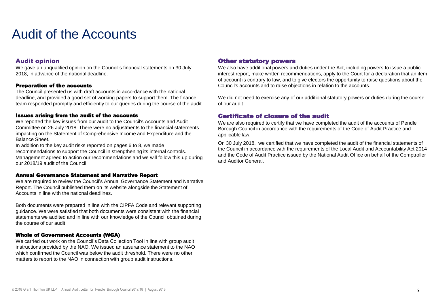### Audit opinion

We gave an unqualified opinion on the Council's financial statements on 30 July 2018, in advance of the national deadline.

#### Preparation of the accounts

The Council presented us with draft accounts in accordance with the national deadline, and provided a good set of working papers to support them. The finance team responded promptly and efficiently to our queries during the course of the audit.

#### Issues arising from the audit of the accounts

We reported the key issues from our audit to the Council's Accounts and Audit Committee on 26 July 2018. There were no adjustments to the financial statements impacting on the Statement of Comprehensive Income and Expenditure and the Balance Sheet.

In addition to the key audit risks reported on pages 6 to 8, we made recommendations to support the Council in strengthening its internal controls. Management agreed to action our recommendations and we will follow this up during our 2018/19 audit of the Council.

#### Annual Governance Statement and Narrative Report

We are required to review the Council's Annual Governance Statement and Narrative Report. The Council published them on its website alongside the Statement of Accounts in line with the national deadlines.

Both documents were prepared in line with the CIPFA Code and relevant supporting guidance. We were satisfied that both documents were consistent with the financial statements we audited and in line with our knowledge of the Council obtained during the course of our audit.

#### Whole of Government Accounts (WGA)

We carried out work on the Council's Data Collection Tool in line with group audit instructions provided by the NAO. We issued an assurance statement to the NAO which confirmed the Council was below the audit threshold. There were no other matters to report to the NAO in connection with group audit instructions.

### Other statutory powers

We also have additional powers and duties under the Act, including powers to issue a public interest report, make written recommendations, apply to the Court for a declaration that an item of account is contrary to law, and to give electors the opportunity to raise questions about the Council's accounts and to raise objections in relation to the accounts.

We did not need to exercise any of our additional statutory powers or duties during the course of our audit.

### Certificate of closure of the audit

We are also required to certify that we have completed the audit of the accounts of Pendle Borough Council in accordance with the requirements of the Code of Audit Practice and applicable law.

On 30 July 2018, we certified that we have completed the audit of the financial statements of the Council in accordance with the requirements of the Local Audit and Accountability Act 2014 and the Code of Audit Practice issued by the National Audit Office on behalf of the Comptroller and Auditor General.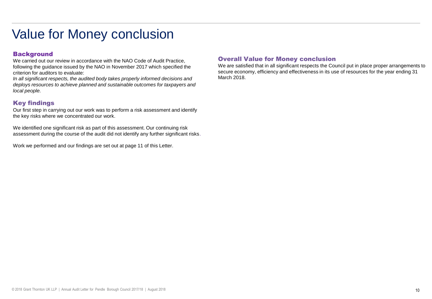# Value for Money conclusion

## **Background**

We carried out our review in accordance with the NAO Code of Audit Practice, following the guidance issued by the NAO in November 2017 which specified the criterion for auditors to evaluate:

*In all significant respects, the audited body takes properly informed decisions and deploys resources to achieve planned and sustainable outcomes for taxpayers and local people.* 

## Key findings

Our first step in carrying out our work was to perform a risk assessment and identify the key risks where we concentrated our work.

We identified one significant risk as part of this assessment. Our continuing risk assessment during the course of the audit did not identify any further significant risks.

Work we performed and our findings are set out at page 11 of this Letter.

### Overall Value for Money conclusion

We are satisfied that in all significant respects the Council put in place proper arrangements to secure economy, efficiency and effectiveness in its use of resources for the year ending 31 March 2018.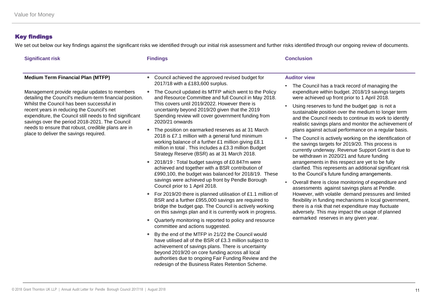# Key findings

We set out below our key findings against the significant risks we identified through our initial risk assessment and further risks identified through our ongoing review of documents.

| <b>Findings</b>                                                                                                                                                                                                                                                                                                                                                                                                                                                                                                                                                                                                                                                                                                                                                                                                                                                                                                                                                                                                                                                                                                        | <b>Conclusion</b>                                                                                                                                                                                                                                                                                                                                                                                                                                                                                                                                                                                                                                                                                                                                                                                                                                                                                                                                                                                                                                                                                                                                                                                                         |
|------------------------------------------------------------------------------------------------------------------------------------------------------------------------------------------------------------------------------------------------------------------------------------------------------------------------------------------------------------------------------------------------------------------------------------------------------------------------------------------------------------------------------------------------------------------------------------------------------------------------------------------------------------------------------------------------------------------------------------------------------------------------------------------------------------------------------------------------------------------------------------------------------------------------------------------------------------------------------------------------------------------------------------------------------------------------------------------------------------------------|---------------------------------------------------------------------------------------------------------------------------------------------------------------------------------------------------------------------------------------------------------------------------------------------------------------------------------------------------------------------------------------------------------------------------------------------------------------------------------------------------------------------------------------------------------------------------------------------------------------------------------------------------------------------------------------------------------------------------------------------------------------------------------------------------------------------------------------------------------------------------------------------------------------------------------------------------------------------------------------------------------------------------------------------------------------------------------------------------------------------------------------------------------------------------------------------------------------------------|
| Council achieved the approved revised budget for<br>$\bullet$<br>2017/18 with a £183,600 surplus.                                                                                                                                                                                                                                                                                                                                                                                                                                                                                                                                                                                                                                                                                                                                                                                                                                                                                                                                                                                                                      | <b>Auditor view</b>                                                                                                                                                                                                                                                                                                                                                                                                                                                                                                                                                                                                                                                                                                                                                                                                                                                                                                                                                                                                                                                                                                                                                                                                       |
| The Council updated its MTFP which went to the Policy<br>$\bullet$<br>and Resource Committee and full Council in May 2018.<br>This covers until 2019/2022. However there is<br>uncertainty beyond 2019/20 given that the 2019<br>Spending review will cover government funding from<br>2020/21 onwards<br>The position on earmarked reserves as at 31 March<br>$\bullet$<br>2018 is £7.1 million with a general fund minimum<br>working balance of a further £1 million giving £8.1<br>million in total. This includes a £3.3 million Budget<br>Strategy Reserve (BSR) as at 31 March 2018.<br>2018/19 : Total budget savings of £0.847m were<br>$\bullet$<br>achieved and together with a BSR contribution of<br>£990,100, the budget was balanced for 2018/19. These<br>savings were achieved up front by Pendle Borough<br>Council prior to 1 April 2018.<br>For 2019/20 there is planned utilisation of £1.1 million of<br>$\bullet$<br>BSR and a further £955,000 savings are required to<br>bridge the budget gap. The Council is actively working<br>on this savings plan and it is currently work in progress. | The Council has a track record of managing the<br>expenditure within budget. 2018/19 savings targets<br>were achieved up front prior to 1 April 2018.<br>Using reserves to fund the budget gap is not a<br>$\bullet$<br>sustainable position over the medium to longer term<br>and the Council needs to continue its work to identify<br>realistic savings plans and monitor the achievement of<br>plans against actual performance on a regular basis.<br>The Council is actively working on the identification of<br>the savings targets for 2019/20. This process is<br>currently underway. Revenue Support Grant is due to<br>be withdrawn in 2020/21 and future funding<br>arrangements in this respect are yet to be fully<br>clarified. This represents an additional significant risk<br>to the Council's future funding arrangements.<br>Overall there is close monitoring of expenditure and<br>assessments against savings plans at Pendle.<br>However, with volatile demand pressures and limited<br>flexibility in funding mechanisms in local government,<br>there is a risk that net expenditure may fluctuate<br>adversely. This may impact the usage of planned<br>earmarked reserves in any given year. |
| committee and actions suggested.<br>By the end of the MTFP in 21/22 the Council would<br>$\bullet$<br>have utilised all of the BSR of £3.3 million subject to<br>achievement of savings plans. There is uncertainty<br>beyond 2019/20 on core funding across all local                                                                                                                                                                                                                                                                                                                                                                                                                                                                                                                                                                                                                                                                                                                                                                                                                                                 |                                                                                                                                                                                                                                                                                                                                                                                                                                                                                                                                                                                                                                                                                                                                                                                                                                                                                                                                                                                                                                                                                                                                                                                                                           |
|                                                                                                                                                                                                                                                                                                                                                                                                                                                                                                                                                                                                                                                                                                                                                                                                                                                                                                                                                                                                                                                                                                                        | Quarterly monitoring is reported to policy and resource<br>$\bullet$<br>authorities due to ongoing Fair Funding Review and the                                                                                                                                                                                                                                                                                                                                                                                                                                                                                                                                                                                                                                                                                                                                                                                                                                                                                                                                                                                                                                                                                            |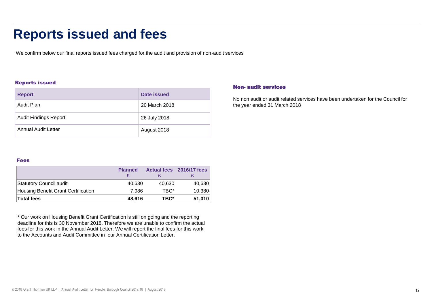# **Reports issued and fees**

We confirm below our final reports issued fees charged for the audit and provision of non-audit services

#### Reports issued

| <b>Report</b>                | Date issued   |
|------------------------------|---------------|
| Audit Plan                   | 20 March 2018 |
| <b>Audit Findings Report</b> | 26 July 2018  |
| Annual Audit Letter          | August 2018   |

### Non- audit services

No non audit or audit related services have been undertaken for the Council for the year ended 31 March 2018

#### Fees

|                                     | <b>Planned</b> |        | Actual fees 2016/17 fees |
|-------------------------------------|----------------|--------|--------------------------|
| Statutory Council audit             | 40,630         | 40,630 | 40,630                   |
| Housing Benefit Grant Certification | 7.986          | TBC*   | 10,380                   |
| <b>Total fees</b>                   | 48,616         | TBC*   | 51,010                   |

\* Our work on Housing Benefit Grant Certification is still on going and the reporting deadline for this is 30 November 2018. Therefore we are unable to confirm the actual fees for this work in the Annual Audit Letter. We will report the final fees for this work to the Accounts and Audit Committee in our Annual Certification Letter.